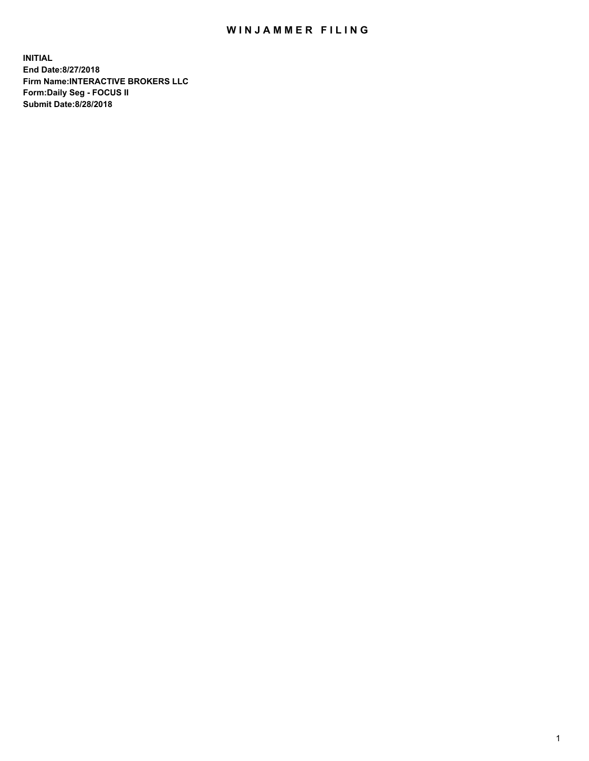## WIN JAMMER FILING

**INITIAL End Date:8/27/2018 Firm Name:INTERACTIVE BROKERS LLC Form:Daily Seg - FOCUS II Submit Date:8/28/2018**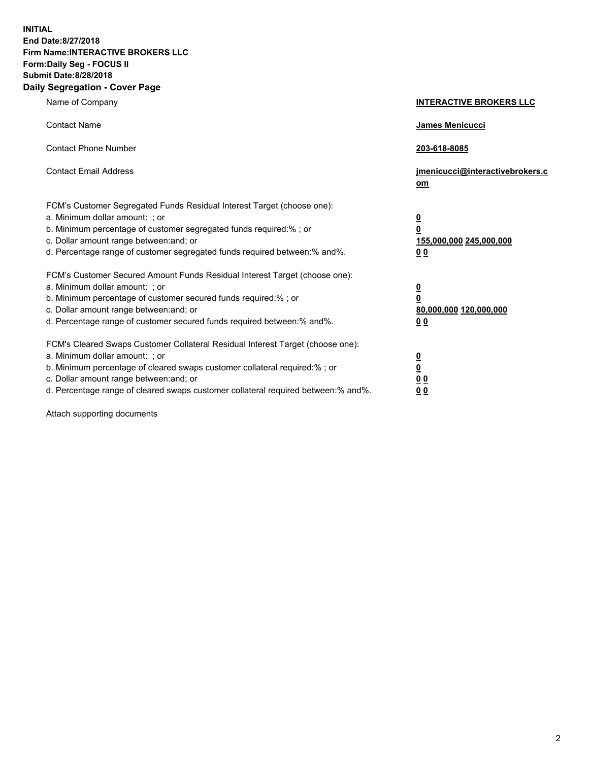**INITIAL End Date:8/27/2018 Firm Name:INTERACTIVE BROKERS LLC Form:Daily Seg - FOCUS II Submit Date:8/28/2018 Daily Segregation - Cover Page**

| Name of Company                                                                                                                                                                                                                                                                                                                | <b>INTERACTIVE BROKERS LLC</b>                                                                  |
|--------------------------------------------------------------------------------------------------------------------------------------------------------------------------------------------------------------------------------------------------------------------------------------------------------------------------------|-------------------------------------------------------------------------------------------------|
| <b>Contact Name</b>                                                                                                                                                                                                                                                                                                            | James Menicucci                                                                                 |
| <b>Contact Phone Number</b>                                                                                                                                                                                                                                                                                                    | 203-618-8085                                                                                    |
| <b>Contact Email Address</b>                                                                                                                                                                                                                                                                                                   | jmenicucci@interactivebrokers.c<br>om                                                           |
| FCM's Customer Segregated Funds Residual Interest Target (choose one):<br>a. Minimum dollar amount: ; or<br>b. Minimum percentage of customer segregated funds required:% ; or<br>c. Dollar amount range between: and; or<br>d. Percentage range of customer segregated funds required between:% and%.                         | $\overline{\mathbf{0}}$<br>$\overline{\mathbf{0}}$<br>155,000,000 245,000,000<br>0 <sub>0</sub> |
| FCM's Customer Secured Amount Funds Residual Interest Target (choose one):<br>a. Minimum dollar amount: ; or<br>b. Minimum percentage of customer secured funds required:% ; or<br>c. Dollar amount range between: and; or<br>d. Percentage range of customer secured funds required between:% and%.                           | $\overline{\mathbf{0}}$<br>0<br>80,000,000 120,000,000<br>0 <sub>0</sub>                        |
| FCM's Cleared Swaps Customer Collateral Residual Interest Target (choose one):<br>a. Minimum dollar amount: ; or<br>b. Minimum percentage of cleared swaps customer collateral required:% ; or<br>c. Dollar amount range between: and; or<br>d. Percentage range of cleared swaps customer collateral required between:% and%. | $\overline{\mathbf{0}}$<br><u>0</u><br>$\underline{0}$ $\underline{0}$<br>00                    |

Attach supporting documents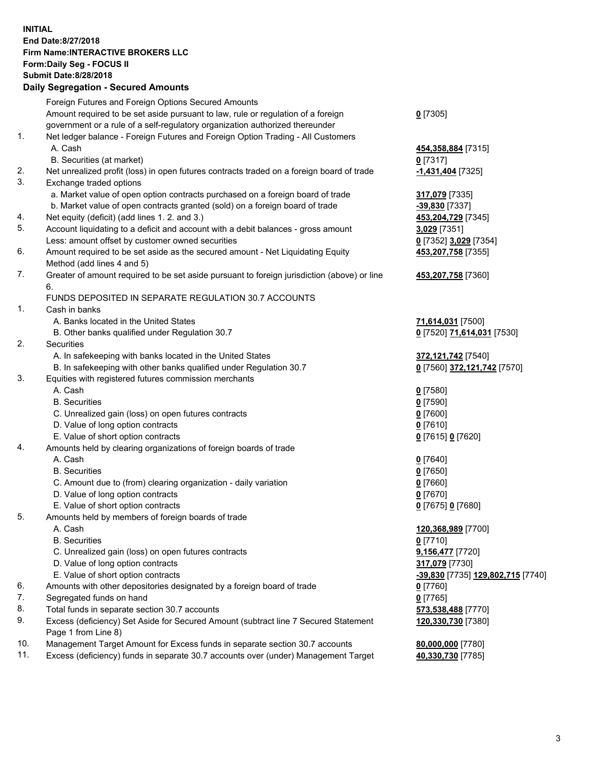## **INITIAL End Date:8/27/2018 Firm Name:INTERACTIVE BROKERS LLC Form:Daily Seg - FOCUS II Submit Date:8/28/2018 Daily Segregation - Secured Amounts**

|     | Dany Ocgregation - oceaned Anioante                                                               |                                                 |
|-----|---------------------------------------------------------------------------------------------------|-------------------------------------------------|
|     | Foreign Futures and Foreign Options Secured Amounts                                               |                                                 |
|     | Amount required to be set aside pursuant to law, rule or regulation of a foreign                  | $0$ [7305]                                      |
|     | government or a rule of a self-regulatory organization authorized thereunder                      |                                                 |
| 1.  | Net ledger balance - Foreign Futures and Foreign Option Trading - All Customers                   |                                                 |
|     | A. Cash                                                                                           | 454,358,884 [7315]                              |
|     | B. Securities (at market)                                                                         | $0$ [7317]                                      |
| 2.  | Net unrealized profit (loss) in open futures contracts traded on a foreign board of trade         | -1,431,404 [7325]                               |
| 3.  | Exchange traded options                                                                           |                                                 |
|     | a. Market value of open option contracts purchased on a foreign board of trade                    | 317,079 [7335]                                  |
|     | b. Market value of open contracts granted (sold) on a foreign board of trade                      | -39,830 [7337]                                  |
| 4.  | Net equity (deficit) (add lines 1.2. and 3.)                                                      | 453,204,729 [7345]                              |
| 5.  | Account liquidating to a deficit and account with a debit balances - gross amount                 | 3,029 [7351]                                    |
|     | Less: amount offset by customer owned securities                                                  | 0 [7352] 3,029 [7354]                           |
| 6.  | Amount required to be set aside as the secured amount - Net Liquidating Equity                    | 453,207,758 [7355]                              |
|     | Method (add lines 4 and 5)                                                                        |                                                 |
| 7.  | Greater of amount required to be set aside pursuant to foreign jurisdiction (above) or line<br>6. | 453,207,758 [7360]                              |
|     | FUNDS DEPOSITED IN SEPARATE REGULATION 30.7 ACCOUNTS                                              |                                                 |
| 1.  | Cash in banks                                                                                     |                                                 |
|     | A. Banks located in the United States                                                             | 71,614,031 [7500]                               |
|     | B. Other banks qualified under Regulation 30.7                                                    | 0 [7520] 71,614,031 [7530]                      |
| 2.  | Securities                                                                                        |                                                 |
|     | A. In safekeeping with banks located in the United States                                         | 372,121,742 [7540]                              |
|     | B. In safekeeping with other banks qualified under Regulation 30.7                                | 0 [7560] 372,121,742 [7570]                     |
| 3.  | Equities with registered futures commission merchants                                             |                                                 |
|     | A. Cash                                                                                           | $0$ [7580]                                      |
|     | <b>B.</b> Securities                                                                              | $0$ [7590]                                      |
|     | C. Unrealized gain (loss) on open futures contracts                                               | $0$ [7600]                                      |
|     | D. Value of long option contracts                                                                 | $0$ [7610]                                      |
|     | E. Value of short option contracts                                                                | 0 [7615] 0 [7620]                               |
| 4.  | Amounts held by clearing organizations of foreign boards of trade                                 |                                                 |
|     | A. Cash                                                                                           | $0$ [7640]                                      |
|     | <b>B.</b> Securities                                                                              | $0$ [7650]                                      |
|     | C. Amount due to (from) clearing organization - daily variation                                   | $0$ [7660]                                      |
|     | D. Value of long option contracts                                                                 | $0$ [7670]                                      |
|     | E. Value of short option contracts                                                                | 0 [7675] 0 [7680]                               |
| 5.  | Amounts held by members of foreign boards of trade                                                |                                                 |
|     | A. Cash                                                                                           | 120,368,989 [7700]                              |
|     | <b>B.</b> Securities                                                                              | $0$ [7710]                                      |
|     | C. Unrealized gain (loss) on open futures contracts                                               | 9,156,477 [7720]                                |
|     | D. Value of long option contracts                                                                 | 317,079 [7730]                                  |
|     | E. Value of short option contracts                                                                | <u>-39,830</u> [7735] <u>129,802,715</u> [7740] |
| 6.  | Amounts with other depositories designated by a foreign board of trade                            | $0$ [7760]                                      |
| 7.  | Segregated funds on hand                                                                          | $0$ [7765]                                      |
| 8.  | Total funds in separate section 30.7 accounts                                                     | 573,538,488 [7770]                              |
| 9.  | Excess (deficiency) Set Aside for Secured Amount (subtract line 7 Secured Statement               | 120,330,730 [7380]                              |
|     | Page 1 from Line 8)                                                                               |                                                 |
| 10. | Management Target Amount for Excess funds in separate section 30.7 accounts                       | 80,000,000 [7780]                               |
| 11. | Excess (deficiency) funds in separate 30.7 accounts over (under) Management Target                | 40,330,730 [7785]                               |
|     |                                                                                                   |                                                 |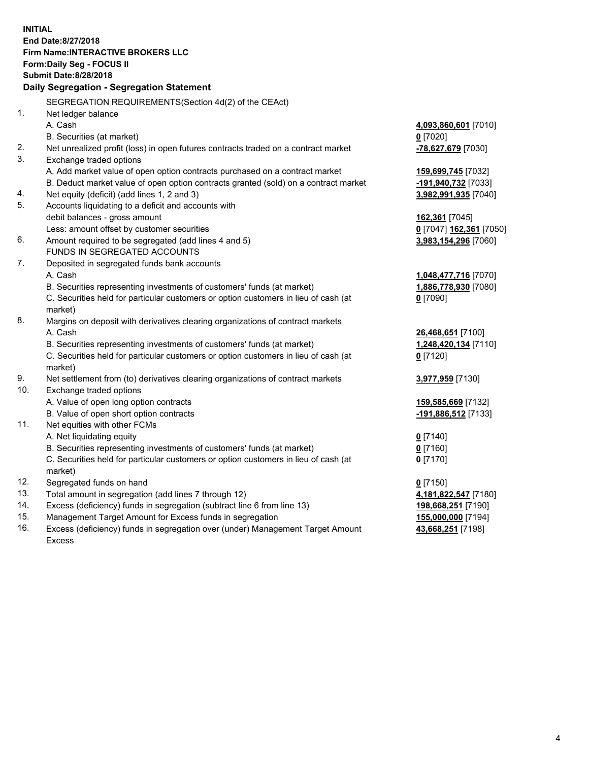**INITIAL End Date:8/27/2018 Firm Name:INTERACTIVE BROKERS LLC Form:Daily Seg - FOCUS II Submit Date:8/28/2018 Daily Segregation - Segregation Statement** SEGREGATION REQUIREMENTS(Section 4d(2) of the CEAct) 1. Net ledger balance A. Cash **4,093,860,601** [7010] B. Securities (at market) **0** [7020] 2. Net unrealized profit (loss) in open futures contracts traded on a contract market **-78,627,679** [7030] 3. Exchange traded options A. Add market value of open option contracts purchased on a contract market **159,699,745** [7032] B. Deduct market value of open option contracts granted (sold) on a contract market **-191,940,732** [7033] 4. Net equity (deficit) (add lines 1, 2 and 3) **3,982,991,935** [7040] 5. Accounts liquidating to a deficit and accounts with debit balances - gross amount **162,361** [7045] Less: amount offset by customer securities **0** [7047] **162,361** [7050] 6. Amount required to be segregated (add lines 4 and 5) **3,983,154,296** [7060] FUNDS IN SEGREGATED ACCOUNTS 7. Deposited in segregated funds bank accounts A. Cash **1,048,477,716** [7070] B. Securities representing investments of customers' funds (at market) **1,886,778,930** [7080] C. Securities held for particular customers or option customers in lieu of cash (at market) **0** [7090] 8. Margins on deposit with derivatives clearing organizations of contract markets A. Cash **26,468,651** [7100] B. Securities representing investments of customers' funds (at market) **1,248,420,134** [7110] C. Securities held for particular customers or option customers in lieu of cash (at market) **0** [7120] 9. Net settlement from (to) derivatives clearing organizations of contract markets **3,977,959** [7130] 10. Exchange traded options A. Value of open long option contracts **159,585,669** [7132] B. Value of open short option contracts **-191,886,512** [7133] 11. Net equities with other FCMs A. Net liquidating equity **0** [7140] B. Securities representing investments of customers' funds (at market) **0** [7160] C. Securities held for particular customers or option customers in lieu of cash (at market) **0** [7170] 12. Segregated funds on hand **0** [7150] 13. Total amount in segregation (add lines 7 through 12) **4,181,822,547** [7180] 14. Excess (deficiency) funds in segregation (subtract line 6 from line 13) **198,668,251** [7190] 15. Management Target Amount for Excess funds in segregation **155,000,000** [7194] **43,668,251** [7198]

16. Excess (deficiency) funds in segregation over (under) Management Target Amount Excess